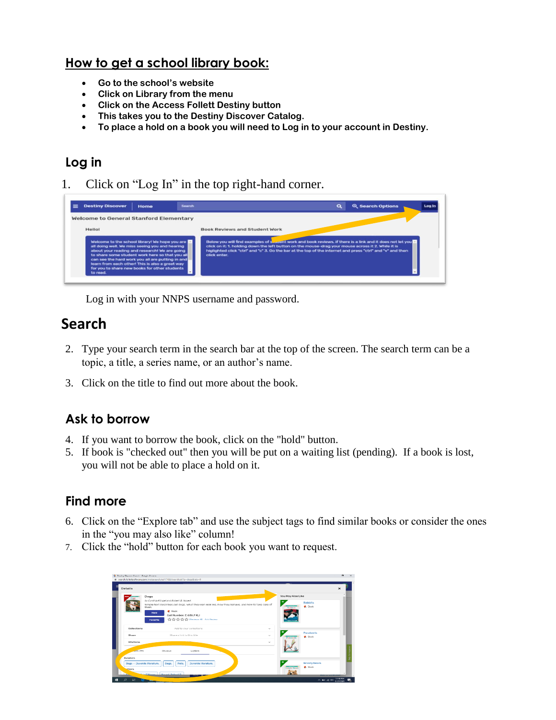## **How to get a school library book:**

- **Go to the school's website**
- **Click on Library from the menu**
- **Click on the Access Follett Destiny button**
- **This takes you to the Destiny Discover Catalog.**
- **To place a hold on a book you will need to Log in to your account in Destiny.**

#### **Log in**

1. Click on "Log In" in the top right-hand corner.

| <b>Destiny Discover</b>                       | Home                                           | <b>Search</b>                                  | <b>Q</b> Search Options                                                                                                                                                                                            | Log In |
|-----------------------------------------------|------------------------------------------------|------------------------------------------------|--------------------------------------------------------------------------------------------------------------------------------------------------------------------------------------------------------------------|--------|
| <b>Welcome to General Stanford Elementary</b> |                                                |                                                |                                                                                                                                                                                                                    |        |
| Hellol                                        |                                                |                                                | <b>Book Reviews and Student Work</b>                                                                                                                                                                               |        |
|                                               | Welcome to the school library! We hope you are | all doing well. We miss seeing you and hearing | Below you will find examples of storaght work and book reviews, if there is a link and it does not let you a<br>click on it: 1. holding down the left button on the mouse-drag your mouse across it 2. While it is |        |

Log in with your NNPS username and password.

# **Search**

- 2. Type your search term in the search bar at the top of the screen. The search term can be a topic, a title, a series name, or an author's name.
- 3. Click on the title to find out more about the book.

## **Ask to borrow**

- 4. If you want to borrow the book, click on the "hold" button.
- 5. If book is "checked out" then you will be put on a waiting list (pending). If a book is lost, you will not be able to place a hold on it.

#### **Find more**

- 6. Click on the "Explore tab" and use the subject tags to find similar books or consider the ones in the "you may also like" column!
- 7. Click the "hold" button for each book you want to request.

| O Dadin Discover Sparch - Google Chrome                        | @ search.follettsoftware.com/metasearch/ui/17426/search/all?q=dogs8cists=0                                                                                                                                                                                                    |                                                                         | o      |
|----------------------------------------------------------------|-------------------------------------------------------------------------------------------------------------------------------------------------------------------------------------------------------------------------------------------------------------------------------|-------------------------------------------------------------------------|--------|
| Details                                                        |                                                                                                                                                                                                                                                                               | $\times$                                                                |        |
|                                                                | Dogs<br>by Cynthia Klingel and Robert B. Noved.<br>Simple text describes pet dogs, what they can look like, how they behave, and how to take care of<br>them.<br>$E$ Rook<br><b>Hold</b><br>Call Number: E 636.7 KLI<br>A REAL PROPERTY (Recording O) Add Berness<br>Favorite | You May Also Like<br><b>Rabbits</b><br><b>C</b> Dook<br><b>Redshire</b> |        |
| Collections                                                    | Add to your collections<br>$\sim$                                                                                                                                                                                                                                             |                                                                         |        |
| Share<br>Citations                                             | Share a link to this title<br>$\sim$<br>$\sim$                                                                                                                                                                                                                                | Parakeets<br><b>C</b> . Book<br>Porokonts                               |        |
| Jure Info<br>Subjects<br>Dogs -- Juvenile literature.<br>thors | Reviews<br>Explore<br><b>Juvenile literature</b> ,<br>Pets.<br>Dogs.                                                                                                                                                                                                          | <b>Grizzly bears</b><br>$\n  Block\n$<br>Grissly Bears                  |        |
| تنا                                                            | <b>ANGLI PIERMANN</b><br>Monroet, Darkout, D.                                                                                                                                                                                                                                 | <b>MANUFACTURERS AND RESERVE</b><br>$\wedge$ 30 $\leq$ 40<br>8/27/2020  | ٠<br>巪 |